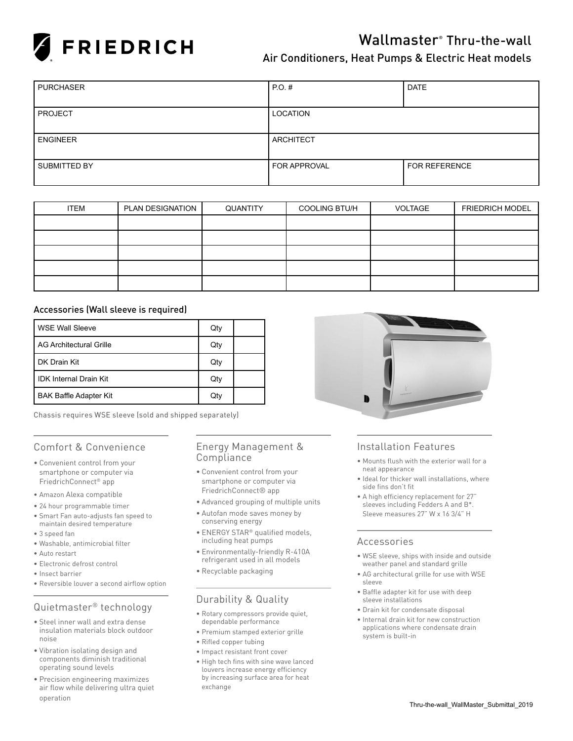

# Wallmaster® Thru-the-wall

### Air Conditioners, Heat Pumps & Electric Heat models

| <b>PURCHASER</b>    | $PO.$ #             | <b>DATE</b>          |
|---------------------|---------------------|----------------------|
|                     |                     |                      |
| <b>PROJECT</b>      | LOCATION            |                      |
|                     |                     |                      |
| <b>ENGINEER</b>     | <b>ARCHITECT</b>    |                      |
|                     |                     |                      |
| <b>SUBMITTED BY</b> | <b>FOR APPROVAL</b> | <b>FOR REFERENCE</b> |
|                     |                     |                      |

| <b>ITEM</b> | PLAN DESIGNATION | QUANTITY | <b>COOLING BTU/H</b> | VOLTAGE | <b>FRIEDRICH MODEL</b> |
|-------------|------------------|----------|----------------------|---------|------------------------|
|             |                  |          |                      |         |                        |
|             |                  |          |                      |         |                        |
|             |                  |          |                      |         |                        |
|             |                  |          |                      |         |                        |
|             |                  |          |                      |         |                        |

### Accessories (Wall sleeve is required)

| WSE Wall Sleeve               | Qty |  |
|-------------------------------|-----|--|
| l AG Architectural Grille     | Qty |  |
| l DK Drain Kit                | Qty |  |
| l IDK Internal Drain Kit      | Qty |  |
| <b>BAK Baffle Adapter Kit</b> | Qty |  |

Chassis requires WSE sleeve (sold and shipped separately)

### Comfort & Convenience

- • Convenient control from your smartphone or computer via FriedrichConnect® app
- • Amazon Alexa compatible
- • 24 hour programmable timer
- • Smart Fan auto-adjusts fan speed to maintain desired temperature
- • 3 speed fan
- • Washable, antimicrobial filter
- Auto restart
- Electronic defrost control
- • Insect barrier
- Reversible louver a second airflow option

### Quietmaster® technology

- • Steel inner wall and extra dense insulation materials block outdoor noise
- • Vibration isolating design and components diminish traditional operating sound levels
- • Precision engineering maximizes air flow while delivering ultra quiet operation

### Energy Management & Compliance

- • Convenient control from your smartphone or computer via FriedrichConnect® app
- • Advanced grouping of multiple units
- • Autofan mode saves money by conserving energy
- ENERGY STAR® qualified models, including heat pumps
- • Environmentally-friendly R-410A refrigerant used in all models
- • Recyclable packaging

### Durability & Quality

- • Rotary compressors provide quiet, dependable performance
- • Premium stamped exterior grille
- • Rifled copper tubing
- • Impact resistant front cover
- • High tech fins with sine wave lanced louvers increase energy efficiency by increasing surface area for heat exchange



### Installation Features

- • Mounts flush with the exterior wall for a neat appearance
- • Ideal for thicker wall installations, where side fins don't fit
- • A high efficiency replacement for 27" sleeves including Fedders A and B\*. Sleeve measures 27" W x 16 3/4" H

#### Accessories

- • WSE sleeve, ships with inside and outside weather panel and standard grille
- • AG architectural grille for use with WSE sleeve
- • Baffle adapter kit for use with deep sleeve installations
- • Drain kit for condensate disposal
- • Internal drain kit for new construction applications where condensate drain system is built-in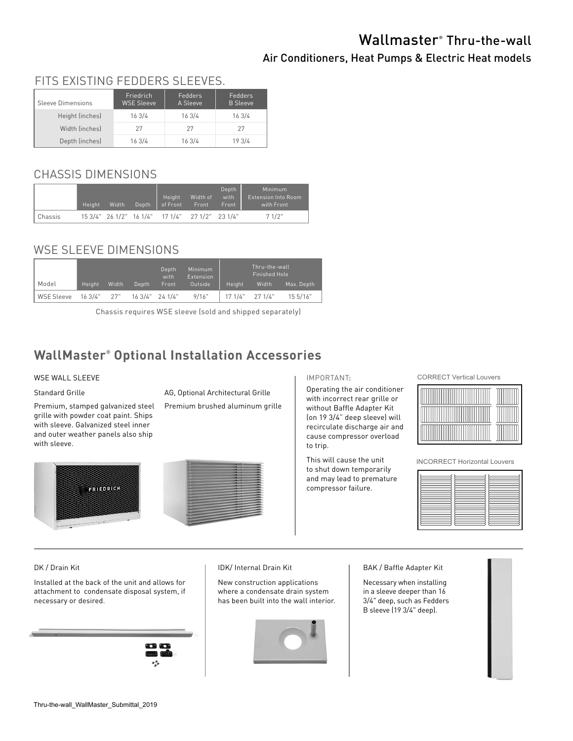# Wallmaster® Thru-the-wall

### Air Conditioners, Heat Pumps & Electric Heat models

#### Sleeve Dimensions Friedrich WSE Sleeve Fedders A Sleeve Fedders B Sleeve Height (inches) 16 3/4 16 3/4 16 3/4 Width (inches) 27 27 27 27 Depth (inches) 16 3/4 16 3/4 19 3/4 FITS EXISTING FEDDERS SLEEVES.

## CHASSIS DIMENSIONS

|         | <b>Height</b> | Width. | Depth | Height<br>l of Front                            | Width of<br>Front. | Depth<br>with<br>Front | Minimum<br><b>Extension Into Room</b><br>with Front |
|---------|---------------|--------|-------|-------------------------------------------------|--------------------|------------------------|-----------------------------------------------------|
| Chassis |               |        |       | 15 3/4" 26 1/2" 16 1/4" 17 1/4" 27 1/2" 23 1/4" |                    |                        | 71/2"                                               |

# WSE SLEEVE DIMENSIONS

|            |             |       |       | Depth<br>with      | Minimum<br><b>Extension</b> |         | Thru-the-wall<br>Finished Hole |            |  |  |  |
|------------|-------------|-------|-------|--------------------|-----------------------------|---------|--------------------------------|------------|--|--|--|
| Model      | Height      | Width | Depth | Front              | Outside                     | Height  | Width                          | Max. Depth |  |  |  |
| WSE Sleeve | 16 3/4" 27" |       |       | $163/4"$ 24 $1/4"$ | 9/16"                       | 17 1/4" | 271/4"                         | 15.5/16"   |  |  |  |

Chassis requires WSE sleeve (sold and shipped separately)

# **WallMaster® Optional Installation Accessories**

### WSE WALL SLEEVE

#### Standard Grille

Premium, stamped galvanized steel grille with powder coat paint. Ships with sleeve. Galvanized steel inner and outer weather panels also ship with sleeve.

AG, Optional Architectural Grille

Premium brushed aluminum grille





#### IMPORTANT:

Operating the air conditioner with incorrect rear grille or without Baffle Adapter Kit (on 19 3/4" deep sleeve) will recirculate discharge air and cause compressor overload to trip.

This will cause the unit to shut down temporarily and may lead to premature compressor failure.

CORRECT Vertical Louvers



INCORRECT Horizontal Louvers

### DK / Drain Kit

Installed at the back of the unit and allows for attachment to condensate disposal system, if necessary or desired.



#### IDK/ Internal Drain Kit

New construction applications where a condensate drain system has been built into the wall interior.



BAK / Baffle Adapter Kit

Necessary when installing in a sleeve deeper than 16 3/4" deep, such as Fedders B sleeve (19 3/4" deep).